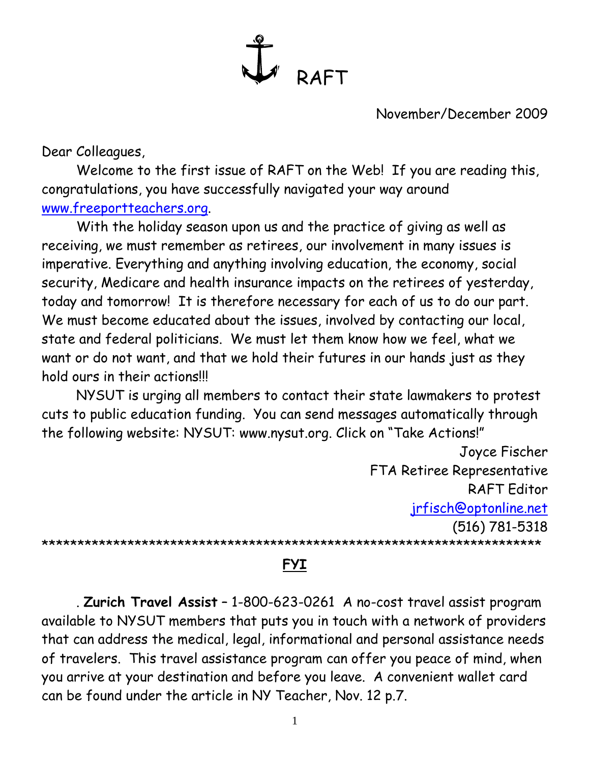RAFT

November/December 2009

Dear Colleagues,

Welcome to the first issue of RAFT on the Web! If you are reading this, congratulations, you have successfully navigated your way around [www.freeportteachers.org.](http://www.freeportteachers.org/)

With the holiday season upon us and the practice of giving as well as receiving, we must remember as retirees, our involvement in many issues is imperative. Everything and anything involving education, the economy, social security, Medicare and health insurance impacts on the retirees of yesterday, today and tomorrow! It is therefore necessary for each of us to do our part. We must become educated about the issues, involved by contacting our local, state and federal politicians. We must let them know how we feel, what we want or do not want, and that we hold their futures in our hands just as they hold ours in their actions!!!

NYSUT is urging all members to contact their state lawmakers to protest cuts to public education funding. You can send messages automatically through the following website: NYSUT: www.nysut.org. Click on "Take Actions!"

Joyce Fischer FTA Retiree Representative RAFT Editor [jrfisch@optonline.net](mailto:jrfisch@optonline.net) (516) 781-5318 \*\*\*\*\*\*\*\*\*\*\*\*\*\*\*\*\*\*\*\*\*\*\*\*\*\*\*\*\*\*\*\*\*\*\*\*\*\*\*\*\*\*\*\*\*\*\*\*\*\*\*\*\*\*\*\*\*\*\*\*\*\*\*\*\*\*\*\*\*\*

## **FYI**

. **Zurich Travel Assist** – 1-800-623-0261 A no-cost travel assist program available to NYSUT members that puts you in touch with a network of providers that can address the medical, legal, informational and personal assistance needs of travelers. This travel assistance program can offer you peace of mind, when you arrive at your destination and before you leave. A convenient wallet card can be found under the article in NY Teacher, Nov. 12 p.7.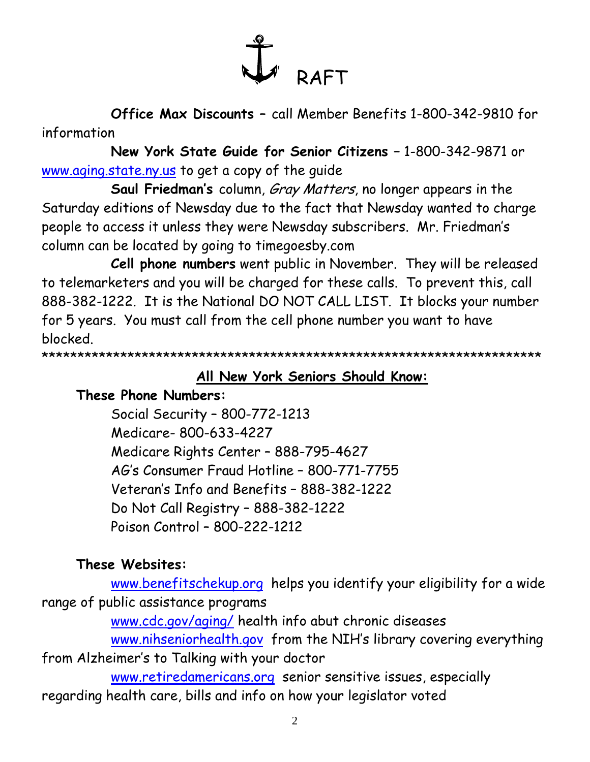

**Office Max Discounts –** call Member Benefits 1-800-342-9810 for information

**New York State Guide for Senior Citizens –** 1-800-342-9871 or [www.aging.state.ny.us](http://www.aging.state.ny.us/) to get a copy of the guide

**Saul Friedman's** column, Gray Matters, no longer appears in the Saturday editions of Newsday due to the fact that Newsday wanted to charge people to access it unless they were Newsday subscribers. Mr. Friedman's column can be located by going to timegoesby.com

**Cell phone numbers** went public in November. They will be released to telemarketers and you will be charged for these calls. To prevent this, call 888-382-1222. It is the National DO NOT CALL LIST. It blocks your number for 5 years. You must call from the cell phone number you want to have blocked.

\*\*\*\*\*\*\*\*\*\*\*\*\*\*\*\*\*\*\*\*\*\*\*\*\*\*\*\*\*\*\*\*\*\*\*\*\*\*\*\*\*\*\*\*\*\*\*\*\*\*\*\*\*\*\*\*\*\*\*\*\*\*\*\*\*\*\*\*\*\*

## **All New York Seniors Should Know:**

## **These Phone Numbers:**

Social Security – 800-772-1213 Medicare- 800-633-4227 Medicare Rights Center – 888-795-4627 AG's Consumer Fraud Hotline – 800-771-7755 Veteran's Info and Benefits – 888-382-1222 Do Not Call Registry – 888-382-1222 Poison Control – 800-222-1212

## **These Websites:**

[www.benefitschekup.org](http://www.benefitschekup.org/) helps you identify your eligibility for a wide range of public assistance programs

[www.cdc.gov/aging/](http://www.cdc.gov/aging/) health info abut chronic diseases [www.nihseniorhealth.gov](http://www.nihseniorhealth.gov/) from the NIH's library covering everything from Alzheimer's to Talking with your doctor

[www.retiredamericans.org](http://www.retiredamericans.org/) senior sensitive issues, especially regarding health care, bills and info on how your legislator voted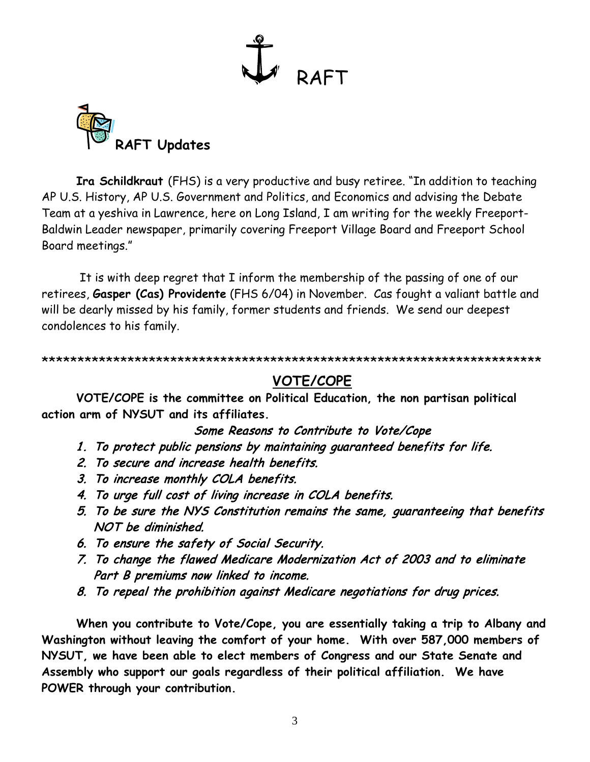



**Ira Schildkraut** (FHS) is a very productive and busy retiree. "In addition to teaching AP U.S. History, AP U.S. Government and Politics, and Economics and advising the Debate Team at a yeshiva in Lawrence, here on Long Island, I am writing for the weekly Freeport-Baldwin Leader newspaper, primarily covering Freeport Village Board and Freeport School Board meetings."

It is with deep regret that I inform the membership of the passing of one of our retirees, **Gasper (Cas) Providente** (FHS 6/04) in November. Cas fought a valiant battle and will be dearly missed by his family, former students and friends. We send our deepest condolences to his family.

\*\*\*\*\*\*\*\*\*\*\*\*\*\*\*\*\*\*\*\*\*\*\*\*\*\*\*\*\*\*\*\*\*\*\*\*\*\*\*\*\*\*\*\*\*\*\*\*\*\*\*\*\*\*\*\*\*\*\*\*\*\*\*\*\*\*\*\*\*\*

#### **VOTE/COPE**

**VOTE/COPE is the committee on Political Education, the non partisan political action arm of NYSUT and its affiliates.**

#### Some Reasons to Contribute to Vote/Cope

- 1. To protect public pensions by maintaining guaranteed benefits for life.
- 2. To secure and increase health benefits.
- 3. To increase monthly COLA benefits.
- 4. To urge full cost of living increase in COLA benefits.
- 5. To be sure the NYS Constitution remains the same, guaranteeing that benefits NOT be diminished.
- 6. To ensure the safety of Social Security.
- 7. To change the flawed Medicare Modernization Act of 2003 and to eliminate Part B premiums now linked to income.
- 8. To repeal the prohibition against Medicare negotiations for drug prices.

**When you contribute to Vote/Cope, you are essentially taking a trip to Albany and Washington without leaving the comfort of your home. With over 587,000 members of NYSUT, we have been able to elect members of Congress and our State Senate and Assembly who support our goals regardless of their political affiliation. We have POWER through your contribution.**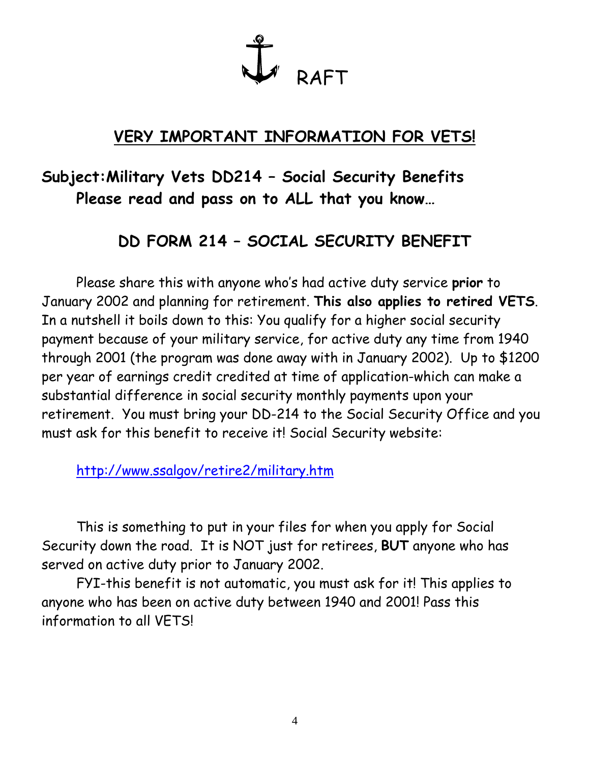

# **VERY IMPORTANT INFORMATION FOR VETS!**

# **Subject:Military Vets DD214 – Social Security Benefits Please read and pass on to ALL that you know…**

# **DD FORM 214 – SOCIAL SECURITY BENEFIT**

Please share this with anyone who's had active duty service **prior** to January 2002 and planning for retirement. **This also applies to retired VETS**. In a nutshell it boils down to this: You qualify for a higher social security payment because of your military service, for active duty any time from 1940 through 2001 (the program was done away with in January 2002). Up to \$1200 per year of earnings credit credited at time of application-which can make a substantial difference in social security monthly payments upon your retirement. You must bring your DD-214 to the Social Security Office and you must ask for this benefit to receive it! Social Security website:

<http://www.ssalgov/retire2/military.htm>

This is something to put in your files for when you apply for Social Security down the road. It is NOT just for retirees, **BUT** anyone who has served on active duty prior to January 2002.

FYI-this benefit is not automatic, you must ask for it! This applies to anyone who has been on active duty between 1940 and 2001! Pass this information to all VETS!